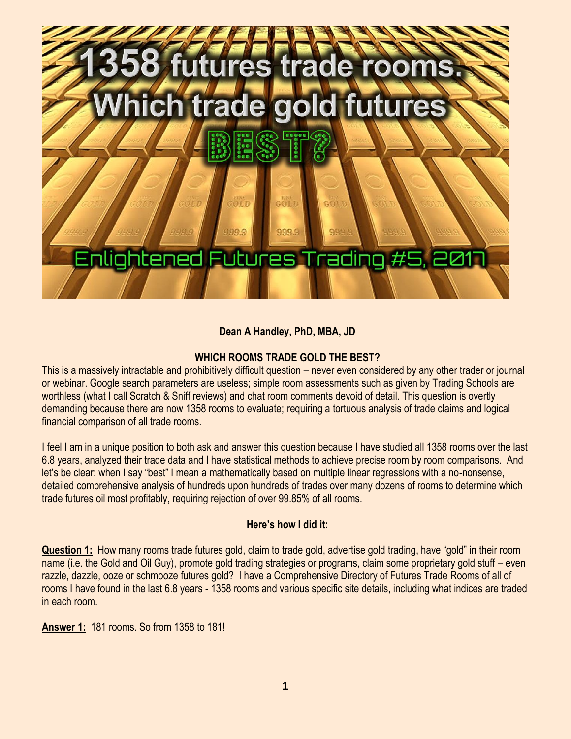

## **Dean A Handley, PhD, MBA, JD**

## **WHICH ROOMS TRADE GOLD THE BEST?**

This is a massively intractable and prohibitively difficult question – never even considered by any other trader or journal or webinar. Google search parameters are useless; simple room assessments such as given by Trading Schools are worthless (what I call Scratch & Sniff reviews) and chat room comments devoid of detail. This question is overtly demanding because there are now 1358 rooms to evaluate; requiring a tortuous analysis of trade claims and logical financial comparison of all trade rooms.

I feel I am in a unique position to both ask and answer this question because I have studied all 1358 rooms over the last 6.8 years, analyzed their trade data and I have statistical methods to achieve precise room by room comparisons. And let's be clear: when I say "best" I mean a mathematically based on multiple linear regressions with a no-nonsense, detailed comprehensive analysis of hundreds upon hundreds of trades over many dozens of rooms to determine which trade futures oil most profitably, requiring rejection of over 99.85% of all rooms.

## **Here's how I did it:**

**Question 1:** How many rooms trade futures gold, claim to trade gold, advertise gold trading, have "gold" in their room name (i.e. the Gold and Oil Guy), promote gold trading strategies or programs, claim some proprietary gold stuff – even razzle, dazzle, ooze or schmooze futures gold? I have a Comprehensive Directory of Futures Trade Rooms of all of rooms I have found in the last 6.8 years - 1358 rooms and various specific site details, including what indices are traded in each room.

**Answer 1:** 181 rooms. So from 1358 to 181!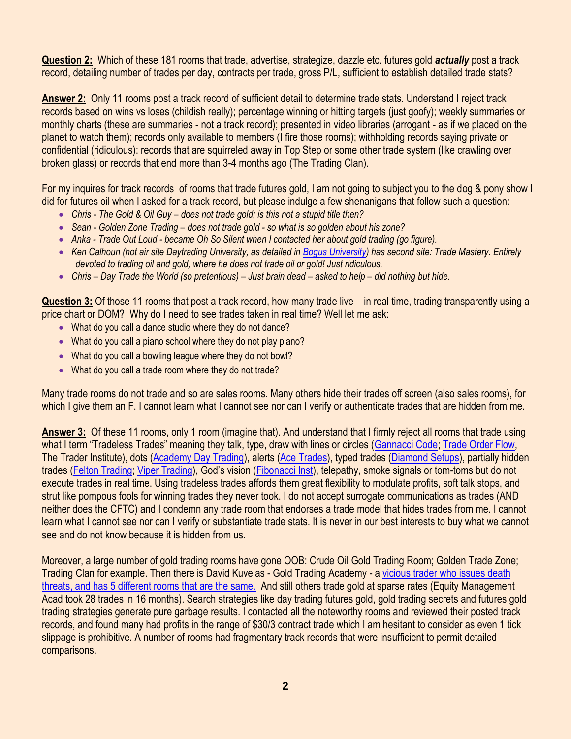**Question 2:** Which of these 181 rooms that trade, advertise, strategize, dazzle etc. futures gold *actually* post a track record, detailing number of trades per day, contracts per trade, gross P/L, sufficient to establish detailed trade stats?

**Answer 2:** Only 11 rooms post a track record of sufficient detail to determine trade stats. Understand I reject track records based on wins vs loses (childish really); percentage winning or hitting targets (just goofy); weekly summaries or monthly charts (these are summaries - not a track record); presented in video libraries (arrogant - as if we placed on the planet to watch them); records only available to members (I fire those rooms); withholding records saying private or confidential (ridiculous): records that are squirreled away in Top Step or some other trade system (like crawling over broken glass) or records that end more than 3-4 months ago (The Trading Clan).

For my inquires for track records of rooms that trade futures gold, I am not going to subject you to the dog & pony show I did for futures oil when I asked for a track record, but please indulge a few shenanigans that follow such a question:

- Chris The Gold & Oil Guy does not trade gold; is this not a stupid title then?
- *Sean - Golden Zone Trading – does not trade gold - so what is so golden about his zone?*
- *Anka - Trade Out Loud - became Oh So Silent when I contacted her about gold trading (go figure).*
- *Ken Calhoun (hot air site Daytrading University, as detailed i[n Bogus University\)](https://www.youtube.com/watch?v=jfxX-33mXVk&t=639s) has second site: Trade Mastery. Entirely devoted to trading oil and gold, where he does not trade oil or gold! Just ridiculous.*
- *Chris – Day Trade the World (so pretentious) – Just brain dead – asked to help – did nothing but hide.*

**Question 3:** Of those 11 rooms that post a track record, how many trade live – in real time, trading transparently using a price chart or DOM? Why do I need to see trades taken in real time? Well let me ask:

- What do you call a dance studio where they do not dance?
- What do you call a piano school where they do not play piano?
- What do you call a bowling league where they do not bowl?
- What do you call a trade room where they do not trade?

Many trade rooms do not trade and so are sales rooms. Many others hide their trades off screen (also sales rooms), for which I give them an F. I cannot learn what I cannot see nor can I verify or authenticate trades that are hidden from me.

**Answer 3:** Of these 11 rooms, only 1 room (imagine that). And understand that I firmly reject all rooms that trade using what I term "Tradeless Trades" meaning they talk, type, draw with lines or circles ([Gannacci Code;](https://www.youtube.com/watch?v=LatHy4nteZQ) [Trade Order Flow,](https://www.youtube.com/watch?v=II2Jek5vIpg) The Trader Institute), dots [\(Academy Day Trading\)](https://www.youtube.com/watch?v=08axGVVhf3E), alerts [\(Ace Trades\)](https://www.youtube.com/watch?v=O9r0yr9TFVM), typed trades [\(Diamond Setups\)](https://www.youtube.com/watch?v=DdVIL-eXUhk), partially hidden trades [\(Felton Trading;](https://www.youtube.com/watch?v=DdVIL-eXUhk) [Viper Trading\)](https://www.youtube.com/watch?v=ZDfJ0bwJZhM&t=249s), God's vision ([Fibonacci Inst\)](https://www.youtube.com/watch?v=CgnyQYyhdXM), telepathy, smoke signals or tom-toms but do not execute trades in real time. Using tradeless trades affords them great flexibility to modulate profits, soft talk stops, and strut like pompous fools for winning trades they never took. I do not accept surrogate communications as trades (AND neither does the CFTC) and I condemn any trade room that endorses a trade model that hides trades from me. I cannot learn what I cannot see nor can I verify or substantiate trade stats. It is never in our best interests to buy what we cannot see and do not know because it is hidden from us.

Moreover, a large number of gold trading rooms have gone OOB: Crude Oil Gold Trading Room; Golden Trade Zone; Trading Clan for example. Then there is David Kuvelas - Gold Trading Academy - a [vicious trader who](https://www.youtube.com/watch?v=uI84PozJ2yc) issues death threats, and has 5 [different rooms that are the same.](https://www.youtube.com/watch?v=uI84PozJ2yc) And still others trade gold at sparse rates (Equity Management Acad took 28 trades in 16 months). Search strategies like day trading futures gold, gold trading secrets and futures gold trading strategies generate pure garbage results. I contacted all the noteworthy rooms and reviewed their posted track records, and found many had profits in the range of \$30/3 contract trade which I am hesitant to consider as even 1 tick slippage is prohibitive. A number of rooms had fragmentary track records that were insufficient to permit detailed comparisons.